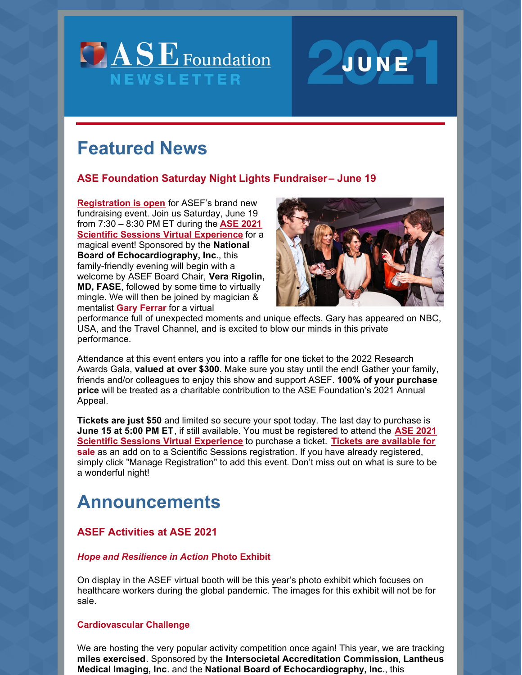



# **Featured News**

# **ASE Foundation Saturday Night Lights Fundraiser– June 19**

**[Registration](https://asecho-prod.force.com/s/lt-event?id=a3L4A00000G7D2zUAF) is open** for ASEF's brand new fundraising event. Join us Saturday, June 19 from 7:30 – 8:30 PM ET during the **ASE 2021 Scientific Sessions Virtual [Experience](https://www.asescientificsessions.org/)** for a magical event! Sponsored by the **National Board of Echocardiography, Inc**., this family-friendly evening will begin with a welcome by ASEF Board Chair, **Vera Rigolin, MD, FASE**, followed by some time to virtually mingle. We will then be joined by magician & mentalist **Gary [Ferrar](https://www.ahrealmagic.com/)** for a virtual



performance full of unexpected moments and unique effects. Gary has appeared on NBC, USA, and the Travel Channel, and is excited to blow our minds in this private performance.

Attendance at this event enters you into a raffle for one ticket to the 2022 Research Awards Gala, **valued at over \$300**. Make sure you stay until the end! Gather your family, friends and/or colleagues to enjoy this show and support ASEF. **100% of your purchase price** will be treated as a charitable contribution to the ASE Foundation's 2021 Annual Appeal.

**Tickets are just \$50** and limited so secure your spot today. The last day to purchase is **June 15 at 5:00 PM ET**, if still available. You must be registered to attend the **ASE 2021 Scientific Sessions Virtual [Experience](https://asecho-prod.force.com/s/lt-event?id=a3L4A00000G7D2zUAF)** to purchase a ticket. **Tickets are available for sale** as an add on to a Scientific Sessions registration. If you have already registered, simply click "Manage Registration" to add this event. Don't miss out on what is sure to be a wonderful night!

# **Announcements**

# **ASEF Activities at ASE 2021**

#### *Hope and Resilience in Action* **Photo Exhibit**

On display in the ASEF virtual booth will be this year's photo exhibit which focuses on healthcare workers during the global pandemic. The images for this exhibit will not be for sale.

### **Cardiovascular Challenge**

We are hosting the very popular activity competition once again! This year, we are tracking **miles exercised**. Sponsored by the **Intersocietal Accreditation Commission**, **Lantheus Medical Imaging, Inc**. and the **National Board of Echocardiography, Inc**., this